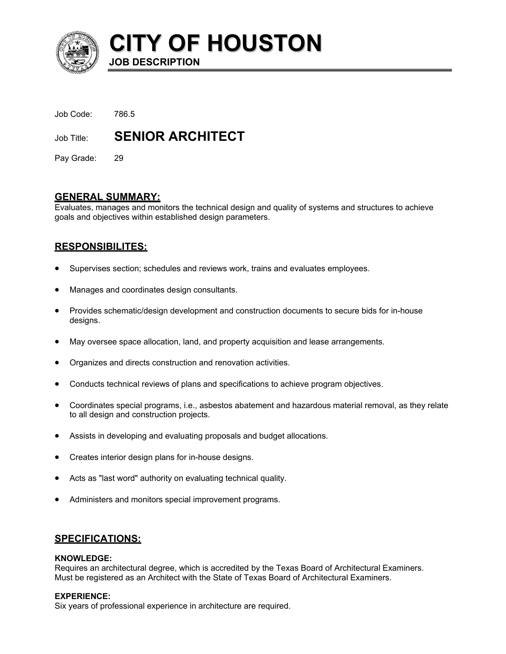

**CITY OF HOUSTON**

| Job Code: | 786.5 |
|-----------|-------|
|           |       |

Job Title: **SENIOR ARCHITECT**

**JOB DESCRIPTION** 

Pay Grade: 29

## **GENERAL SUMMARY:**

Evaluates, manages and monitors the technical design and quality of systems and structures to achieve goals and objectives within established design parameters.

# **RESPONSIBILITES:**

- Supervises section; schedules and reviews work, trains and evaluates employees.
- Manages and coordinates design consultants.
- Provides schematic/design development and construction documents to secure bids for in-house designs.
- May oversee space allocation, land, and property acquisition and lease arrangements.
- Organizes and directs construction and renovation activities.
- Conducts technical reviews of plans and specifications to achieve program objectives.
- Coordinates special programs, i.e., asbestos abatement and hazardous material removal, as they relate to all design and construction projects.
- Assists in developing and evaluating proposals and budget allocations.
- Creates interior design plans for in-house designs.
- Acts as "last word" authority on evaluating technical quality.
- Administers and monitors special improvement programs.

## **SPECIFICATIONS:**

## **KNOWLEDGE:**

Requires an architectural degree, which is accredited by the Texas Board of Architectural Examiners. Must be registered as an Architect with the State of Texas Board of Architectural Examiners.

## **EXPERIENCE:**

Six years of professional experience in architecture are required.